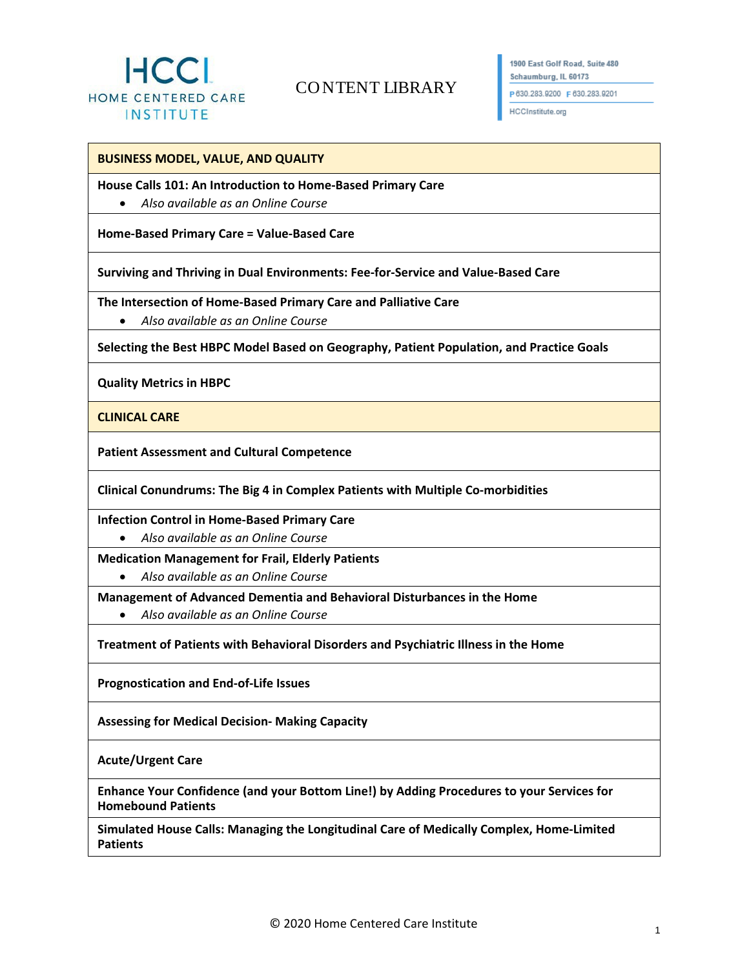

# CO NTENT LIBRARY

1900 East Golf Road, Suite 480 Schaumburg, IL 60173 P630.283.9200 F630.283.9201

HCCInstitute.org

## **BUSINESS MODEL, VALUE, AND QUALITY**

#### **House Calls 101: An Introduction to Home-Based Primary Care**

• *Also available as an Online Course*

**Home-Based Primary Care = Value-Based Care** 

**Surviving and Thriving in Dual Environments: Fee-for-Service and Value-Based Care**

**The Intersection of Home-Based Primary Care and Palliative Care**

• *Also available as an Online Course*

**Selecting the Best HBPC Model Based on Geography, Patient Population, and Practice Goals**

**Quality Metrics in HBPC**

**CLINICAL CARE**

**Patient Assessment and Cultural Competence** 

**Clinical Conundrums: The Big 4 in Complex Patients with Multiple Co-morbidities**

**Infection Control in Home-Based Primary Care**

• *Also available as an Online Course*

**Medication Management for Frail, Elderly Patients**

• *Also available as an Online Course*

**Management of Advanced Dementia and Behavioral Disturbances in the Home**

• *Also available as an Online Course*

**Treatment of Patients with Behavioral Disorders and Psychiatric Illness in the Home**

**Prognostication and End-of-Life Issues**

**Assessing for Medical Decision- Making Capacity**

**Acute/Urgent Care**

**Enhance Your Confidence (and your Bottom Line!) by Adding Procedures to your Services for Homebound Patients**

**Simulated House Calls: Managing the Longitudinal Care of Medically Complex, Home-Limited Patients**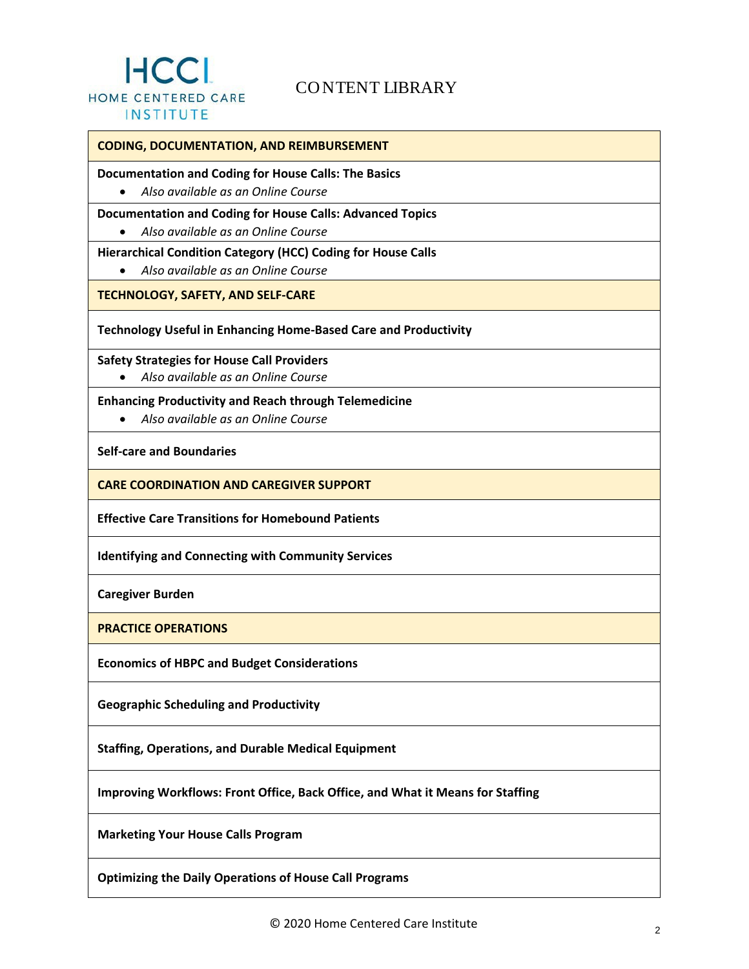

## CO NTENT LIBRARY

## **CODING, DOCUMENTATION, AND REIMBURSEMENT**

### **Documentation and Coding for House Calls: The Basics**

• *Also available as an Online Course*

## **Documentation and Coding for House Calls: Advanced Topics**

• *Also available as an Online Course*

## **Hierarchical Condition Category (HCC) Coding for House Calls**

• *Also available as an Online Course*

## **TECHNOLOGY, SAFETY, AND SELF-CARE**

## **Technology Useful in Enhancing Home-Based Care and Productivity**

**Safety Strategies for House Call Providers**

• *Also available as an Online Course*

## **Enhancing Productivity and Reach through Telemedicine**

• *Also available as an Online Course*

**Self-care and Boundaries**

**CARE COORDINATION AND CAREGIVER SUPPORT** 

**Effective Care Transitions for Homebound Patients**

**Identifying and Connecting with Community Services**

**Caregiver Burden**

**PRACTICE OPERATIONS**

**Economics of HBPC and Budget Considerations**

**Geographic Scheduling and Productivity**

**Staffing, Operations, and Durable Medical Equipment**

**Improving Workflows: Front Office, Back Office, and What it Means for Staffing**

**Marketing Your House Calls Program**

**Optimizing the Daily Operations of House Call Programs**